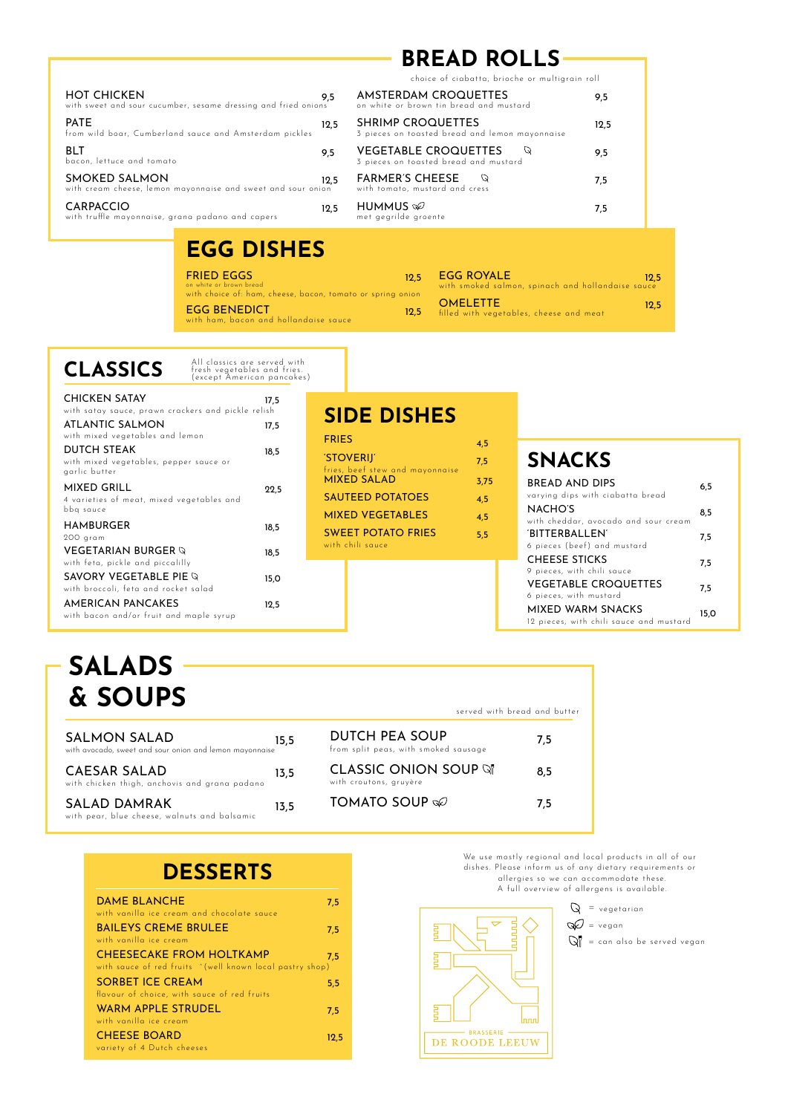| <b>HOT CHICKEN</b><br>with sweet and sour cucumber, sesame dressing and fried onions | 9.5  |
|--------------------------------------------------------------------------------------|------|
| <b>PATE</b><br>from wild boar, Cumberland sauce and Amsterdam pickles                | 12.5 |
| BLT<br>bacon, lettuce and tomato                                                     | 9,5  |
| SMOKED SALMON<br>with cream cheese, lemon mayonnaise and sweet and sour onion        | 12.5 |
| CARPACCIO<br>with truffle mayonnaise, grana padano and capers                        | 12.5 |

## **BREAD ROLLS**

choice of ciabatta, brioche or multigrain roll

| AMSTERDAM CROQUETTES<br>on white or brown tin bread and mustard            | 9.5  |
|----------------------------------------------------------------------------|------|
| <b>SHRIMP CROQUETTES</b><br>3 pieces on toasted bread and lemon mayonnaise | 12,5 |
| <b>VEGETABLE CROQUETTES</b><br>3 pieces on toasted bread and mustard       | 9.5  |
| <b>FARMER'S CHEESE</b><br>with tomato, mustard and cress                   | 7.5  |
| HUMMUS $\otimes$<br>met gegrilde groente                                   | 7.5  |

# **EGG DISHES**

FRIED EGGS

EGG BENEDICT 12,5 on white or brown bread with choice of: ham, cheese, bacon, tomato or spring onion with ham, bacon and hollandaise sauce

| <b>EGG ROYALE</b>                                 |  |  | 12.5 |
|---------------------------------------------------|--|--|------|
| with smoked salmon, spinach and hollandaise sauce |  |  |      |
| $\bigcap$ MEI ETTE                                |  |  | .    |

OMELETTE filled with vegetables, cheese and meat

| <b>CLASSICS</b> | All classics are served with<br>fresh vegetables and fries.<br>(except American pancakes) |
|-----------------|-------------------------------------------------------------------------------------------|
| CHICKEN SATAV   |                                                                                           |

| <b>CHICKEN SATAY</b>                                    | 17.5 |
|---------------------------------------------------------|------|
| with satay sauce, prawn crackers and pickle relish      |      |
| ATLANTIC SALMON                                         | 17,5 |
| with mixed vegetables and lemon                         |      |
| DUTCH STEAK                                             | 18,5 |
| with mixed vegetables, pepper sauce or<br>garlic butter |      |
| MIXED GRILL                                             | 22,5 |
| 4 varieties of meat, mixed vegetables and               |      |
| bbq sauce                                               |      |
| <b>HAMBURGER</b>                                        | 18,5 |
| 200 gram                                                |      |
| <b>VEGETARIAN BURGER Q</b>                              | 18.5 |
| with feta, pickle and piccalilly                        |      |
| SAVORY VEGETABLE PIE Q                                  | 15,0 |
| with broccoli, feta and rocket salad                    |      |
| AMERICAN PANCAKES                                       | 12.5 |
| with bacon and/or fruit and maple syrup                 |      |
|                                                         |      |

### **SIDE DISHES**

12,5

| <b>FRIES</b>                                  | 4.5  |
|-----------------------------------------------|------|
| 'STOVERIJ'<br>fries, beef stew and mayonnaise | 7,5  |
| <b>MIXED SALAD</b>                            | 3.75 |
| <b>SAUTEED POTATOES</b>                       | 4.5  |
| <b>MIXED VEGETABLES</b>                       | 4.5  |
| <b>SWEET POTATO FRIES</b><br>with chili squce | 5.5  |
|                                               |      |

### **SNACKS**

| BREAD AND DIPS<br>varying dips with ciabatta bread           | 6.5  |
|--------------------------------------------------------------|------|
| NACHO'S<br>with cheddar, avocado and sour cream              | 8.5  |
| 'BITTFRBALLFN'<br>6 pieces (beef) and mustard                | 7.5  |
| <b>CHEESE STICKS</b><br>9 pieces, with chili sauce           | 7.5  |
| <b>VEGETABLE CROQUETTES</b><br>6 pieces, with mustard        | 7.5  |
| MIXED WARM SNACKS<br>12 pieces, with chili sauce and mustard | 15.0 |

12,5

# **SALADS & SOUPS**

| SALMON SALAD<br>with avocado, sweet and sour onion and lemon mayonnaise | 15.5 |
|-------------------------------------------------------------------------|------|
| CAESAR SALAD<br>with chicken thigh, anchovis and grana padano           | 13.5 |
| SALAD DAMRAK<br>with pear, blue cheese, walnuts and balsamic            | 13.5 |

| served with bread and butter                           |     |
|--------------------------------------------------------|-----|
| DUTCH PEA SOUP<br>from split peas, with smoked sausage | 7.5 |
| CLASSIC ONION SOUP Q<br>with croutons, gruyère         | 8.5 |
| <b>TOMATO SOUP</b>                                     | 75  |

| <b>DAME BLANCHE</b><br>with vanilla ice cream and chocolate sauce                           | 7,5  |
|---------------------------------------------------------------------------------------------|------|
| <b>BAILEYS CREME BRULEE</b><br>with vanilla ice cream                                       | 7,5  |
| <b>CHEESECAKE FROM HOLTKAMP</b><br>with sauce of red fruits ^(well known local pastry shop) | 7.5  |
| <b>SORBET ICE CREAM</b><br>flavour of choice, with sauce of red fruits                      | 5,5  |
| WARM APPLE STRUDEL<br>with vanilla ice cream                                                | 7,5  |
| <b>CHEESE BOARD</b><br>variety of 4 Dutch cheeses                                           | 12.5 |

We use mostly regional and local products in all of our dishes. Please inform us of any dietary requirements or allergies so we can accommodate these. A full overview of allergens is available.

 $Q = v$ egetarian

 $Q = \text{vegan}$ 

 $\mathbb{Q}^{\parallel}$  = can also be served vegan